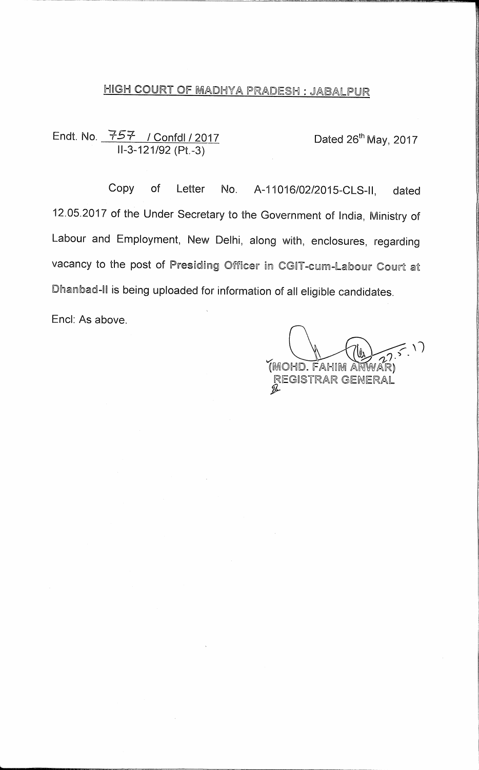### HIGH COURT OF MADHYA PRADESH : JABALPUR

Endt. No. 257 / Confdl / 2017 Dated 26<sup>th</sup> May, 2017 11-3-121/92 (Pt.-3)

Copy of Letter No. A-11016/02/2015-CLS-II, dated 12.05.2017 of the Under Secretary to the Government of India, Ministry of Labour and Employment, New Delhi, along with, enclosures, regarding vacancy to the post of Presiding Officer in CGIT-cum-Labour Court at Dhanbad-II is being uploaded for information of all eligible candidates.

End: As above.

(MOHD. FAHIM ANW REGISTRAR GENERAL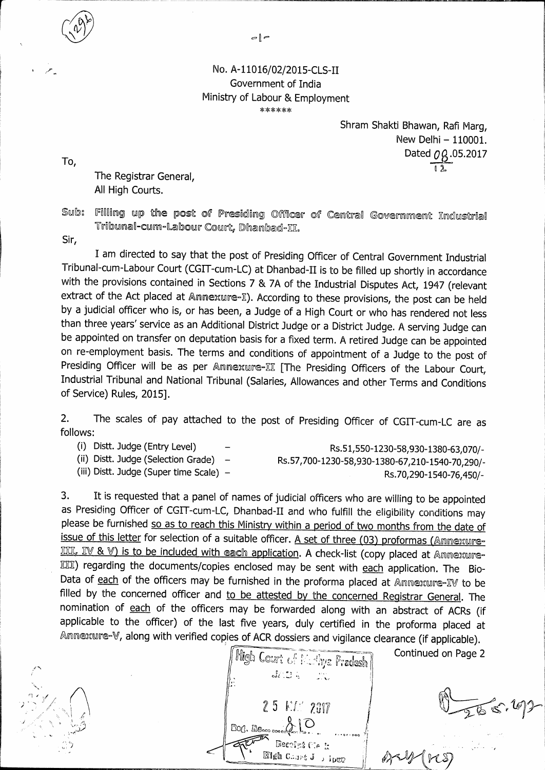$\circ$  |  $\circ$ 

#### **No. A-11016/02/2015-CLS-II Government of India Ministry of Labour & Employment \*\*\*\*\*\***

**Shram Shakti Bhawan, Rafi Marg, New Delhi — 110001.**  Dated  $0\beta$ .05.2017  $\overline{\mathfrak{g}}$ 

**The Registrar General,** 

**All High Courts.** 

Sub: Filling up the post of Presiding Officer of Central Government Industrial  $\textcolor{black}{\texttt{Tribound-cum-labour Court.} }$  Dhanbad-II.

**Sir,** 

**To,** 

**I am directed to say that the post of Presiding Officer of Central Government Industrial Tribunal-cum-Labour Court (CGIT-cum-LC) at Dhanbad-II is to be filled up shortly in accordance with the provisions contained in Sections 7 & 7A of the Industrial Disputes Act, 1947 (relevant**  extract of the Act placed at Annexure-I). According to these provisions, the post can be held **by a judicial officer who is, or has been, a Judge of a High Court or who has rendered not less than three years' service as an Additional District Judge or a District Judge. A serving Judge can be appointed on transfer on deputation basis for a fixed term. A retired Judge can be appointed on re-employment basis. The terms and conditions of appointment of a Judge to the post of**  Presiding Officer will be as per Annexure-II [The Presiding Officers of the Labour Court, **Industrial Tribunal and National Tribunal (Salaries, Allowances and other Terms and Conditions of Service) Rules, 2015].** 

**2. The scales of pay attached to the post of Presiding Officer of CGIT-cum-LC are as follows:** 

(i) Distt. Judge (Entry Level) -<br>(ii) Distt. Judge (Selection Grade) - Rs.57.700-1230-58.930-1380-63.070-<sup>2</sup> (ii) Distt. Judge (Selection Grade) **(ii) Distt. Judge (Selection Grade) — Rs.57,700-1230-58,930-1380-67,210-1540-70,290/-**  (iii) Distt. Judge (Super time Scale) – Rs.70,290-1540-76,450/-

**Continued on Page 2** 

**3. It is requested that a panel of names of judicial officers who are willing to be appointed as Presiding Officer of CGIT-cum-LC, Dhanbad-II and who fulfill the eligibility conditions may please be furnished so as to reach this Ministry within a period of two months from the date of**  issue of this letter for selection of a suitable officer. A set of three (03) proformas (Annexure-III, IV & V) is to be included with each application. A check-list (copy placed at Annexure-ME) **regarding the documents/copies enclosed may be sent with each application. The Bio-Data of each of the officers may be furnished in the proforma placed at** Annexure-E19 **to be**  filled by the concerned officer and to be attested by the concerned Registrar General. The **nomination of each of the officers may be forwarded along with an abstract of ACRs (if applicable to the officer) of the last five years, duly certified in the proforma placed at**  Annexure-V, along with verified copies of ACR dossiers and vigilance clearance (if applicable).

High Court of Methys Pradesh  $J\cap\mathbb{C}$  is  $\mathbb{R}$ 25 MM 2017 Bort, Mo. Recolet Migh Chart J o ipeo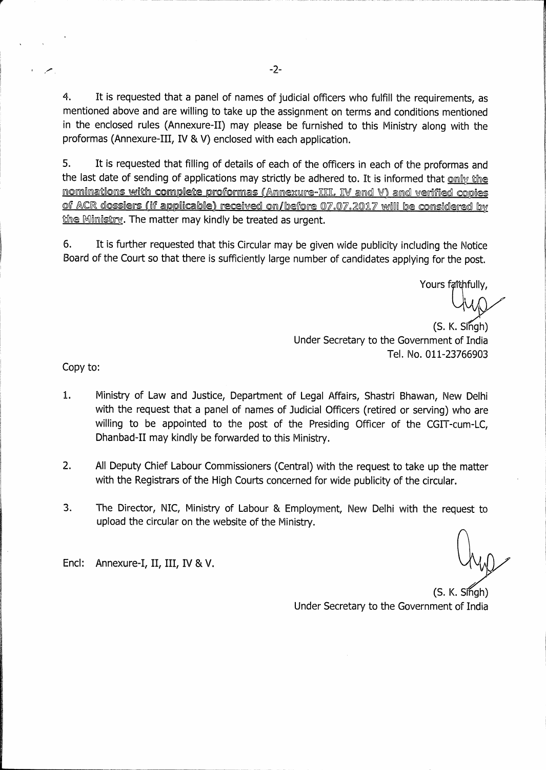4. It is requested that a panel of names of judicial officers who fulfill the requirements, as mentioned above and are willing to take up the assignment on terms and conditions mentioned in the enclosed rules (Annexure-II) may please be furnished to this Ministry along with the proformas (Annexure-III, IV & V) enclosed with each application.

5. It is requested that filling of details of each of the officers in each of the proformas and the last date of sending of applications may strictly be adhered to. It is informed that only the nominations with complete proformas (Annexure-EEL, IV and V) and verified copies of ACR dossiers (if applicable) received on/before 07.07.2017 will be considered by the Ministry. The matter may kindly be treated as urgent.

6. It is further requested that this Circular may be given wide publicity including the Notice Board of the Court so that there is sufficiently large number of candidates applying for the post.

Yours faithfully,

 $(S. K. S<sub>n</sub>gh)$ Under Secretary to the Government of India Tel. No. 011-23766903

Copy to:

- 1. Ministry of Law and Justice, Department of Legal Affairs, Shastri Bhawan, New Delhi with the request that a panel of names of Judicial Officers (retired or serving) who are willing to be appointed to the post of the Presiding Officer of the CGIT-cum-LC, Dhanbad-II may kindly be forwarded to this Ministry.
- 2. All Deputy Chief Labour Commissioners (Central) with the request to take up the matter with the Registrars of the High Courts concerned for wide publicity of the circular.
- 3. The Director, NIC, Ministry of Labour & Employment, New Delhi with the request to upload the circular on the website of the Ministry.

Encl: Annexure-I, II, III, IV & V.

 $(S. K. S<sub>th</sub>$  (S. Under Secretary to the Government of India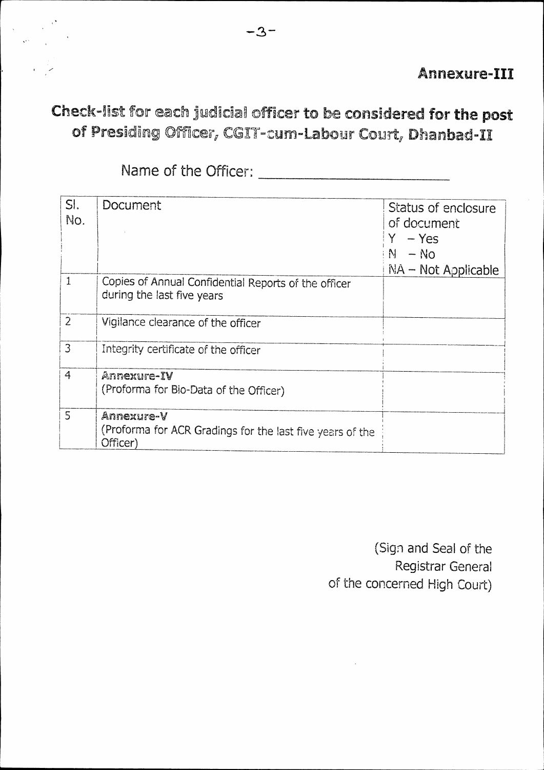### **Annexure-III**

# Check-list for each judicial officer to be considered for the post of Presiding Officer, CGIT-cum-Labour Court, Dhanbad-II

| SI.            | Document                                                                           | Status of enclosure   |
|----------------|------------------------------------------------------------------------------------|-----------------------|
| No.            |                                                                                    | of document           |
|                |                                                                                    | $-$ Yes               |
|                |                                                                                    | $N - No$              |
|                |                                                                                    | $NA$ – Not Applicable |
| $\mathbf{1}$   | Copies of Annual Confidential Reports of the officer<br>during the last five years |                       |
| $\overline{2}$ | Vigilance clearance of the officer                                                 |                       |
| 3              | Integrity certificate of the officer                                               |                       |
| $\overline{4}$ | Annexure-IV                                                                        |                       |
|                | (Proforma for Bio-Data of the Officer)                                             |                       |
| $\overline{5}$ | Annexure-V                                                                         |                       |
|                | (Proforma for ACR Gradings for the last five years of the<br>Officer)              |                       |

(Sign and Seal of the Registrar General of the concerned High Court)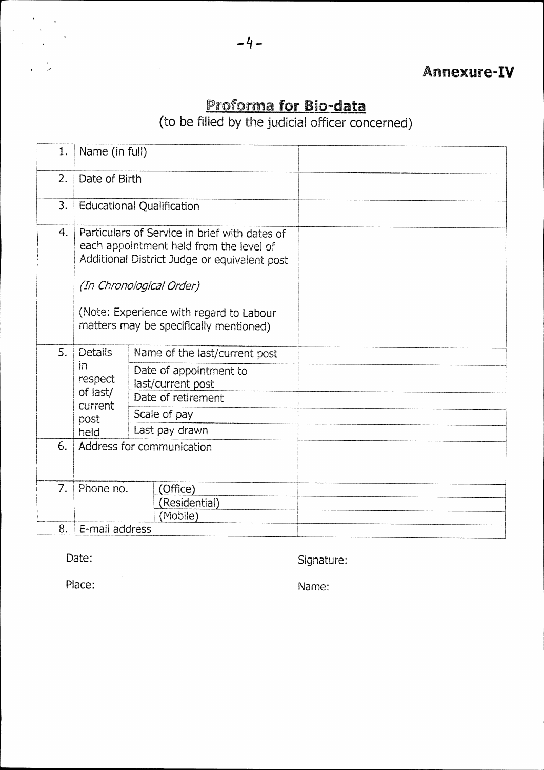## roforma for Bio-data

(to be filled by the judicial officer concerned)

| 1.       | Name (in full)                                                                                                                                                                                                                                            |  |  |  |
|----------|-----------------------------------------------------------------------------------------------------------------------------------------------------------------------------------------------------------------------------------------------------------|--|--|--|
| 2.       | Date of Birth                                                                                                                                                                                                                                             |  |  |  |
| 3.       | <b>Educational Qualification</b>                                                                                                                                                                                                                          |  |  |  |
| 4.       | Particulars of Service in brief with dates of<br>each appointment held from the level of<br>Additional District Judge or equivalent post<br>(In Chronological Order)<br>(Note: Experience with regard to Labour<br>matters may be specifically mentioned) |  |  |  |
| 5.<br>6. | <b>Details</b><br>Name of the last/current post<br>in<br>Date of appointment to<br>respect<br>last/current post<br>of last/<br>Date of retirement<br>current<br>Scale of pay<br>post<br>Last pay drawn<br>held<br>Address for communication               |  |  |  |
|          |                                                                                                                                                                                                                                                           |  |  |  |
| 7.       | Phone no.<br>(Office)<br>(Residential)<br>(Mobile)                                                                                                                                                                                                        |  |  |  |
| 8.       | E-mail address                                                                                                                                                                                                                                            |  |  |  |

Date: Signature: Signature:

Place: Name: Name: Name: Name: Name: Name: Name: Name: Name: Name: Name: Name: Name: Name: Name: Name: Name: Name: Name: Name: Name: Name: Name: Name: Name: Name: Name: Name: Name: Name: Name: Name: Name: Name: Name: Name: